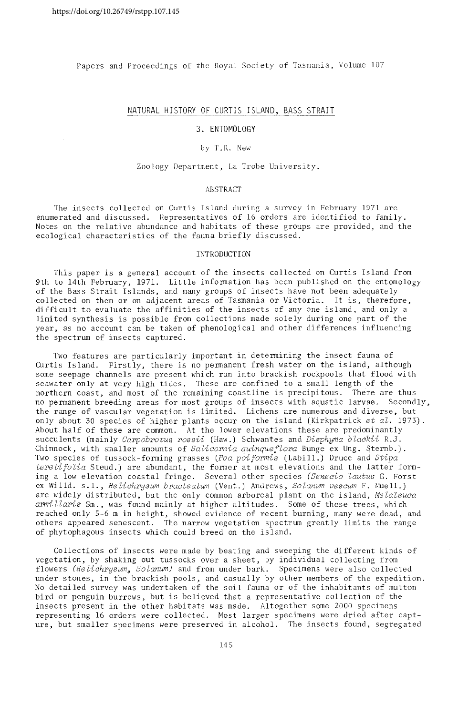Papers and Proceedings of the Royal Society of Tasmania, Volume 107

# NATURAL HISTORY OF CURTIS ISLAND, BASS STRAIT

### 3. ENTOMOLOGY

#### by T.R. New

#### Zoology Department, La Trobe University.

# **ABSTRACT**

The insects collected on Curtis Island during a survey in February 1971 are enumerated and discussed. Representatives of 16 orders are identified to family. Notes on the relativc abundance and habitats of these groups arc provided, and the ecological characteristics of the fauna briefly discussed.

#### INTRODUCTION

This paper is a general account of the insects collected on Curtis Island from 9th to 14th February, 1971. Little information has been published on the entomology of the Bass Strait Islands, and many groups of insects have not been adequately collected on them or on adjacent areas of Tasmania or Victoria. It is, therefore, difficult to evaluate the affinities of the insects of anyone island, and only a limited synthesis is possible from collections made solely during one part of the year, as no account can be taken of phenological and other differences influencing the spectrum of insects captured.

Two features are particularly important in determining the insect fauna of Curtis Island. Firstly, there is no permanent fresh water on the island, although some seepage channels are present which run into brackish rockpools that flood with seawater only at very high tides. These are confined to a small length of the northern coast, and most of the remaining coastline is precipitous. There are thus no permanent breeding areas for most groups of insects with aquatic larvae. Secondly, the range of vascular vegetation is limited. Lichens are numerous and diverse, but only about 30 species of higher plants occur on the island (Kirkpatrick *et al.* 1973). About half of these are common. At the lower elevations these are predominantly succulents (mainly *Carpobrotus rossii* (Haw.) Schwantes and *Disphyma blackii* R.J. Chinnock, with smaller amounts of *Salicornia quinque flora* Bunge ex Ung. Sternb.). Two species of tussock-forming grasses *(Poa poiformis* (Labill.) Druce and *teretifolia* Steud.) are abundant, the former at most elevations and the latter forming a low elevation coastal fringe. Several other species *(Senecio lautus* G. Forst ex Willd. s.l., *He lichrysum bracteatum* (Vent.) Andrews, *Solanum vescum* F. Muell.) are widely distributed, but the only common arboreal plant on the island, Melaleuca armillaris Sm., was found mainly at higher altitudes. Some of these trees, which reached only 5-6 m in height, showed evidence of recent burning, many were dead, and others appeared senescent. The narrow vegetation spectrum greatly limits the range of phytophagous insects which could breed on the island.

Collections of insects were made by beating and sweeping the different kinds of vegetation, by shaking out tussocks over a sheet, by individual collecting from flowers (Helichrysum, Solanum) and from under bark. Specimens were also collected under stones, in the brackish pools, and casually by other members of the expedition. No detailed survey was undertaken of the soil fauna or of the inhabitants of mutton bird or penguin burrows, but is believed that a representative collection of the insects present in the other habitats was made. Altogether some 2000 specimens representing 16 orders were collected. Most larger specimens *were* dried after capture, but smaller specimens were preserved in alcohol. The insects found, segregated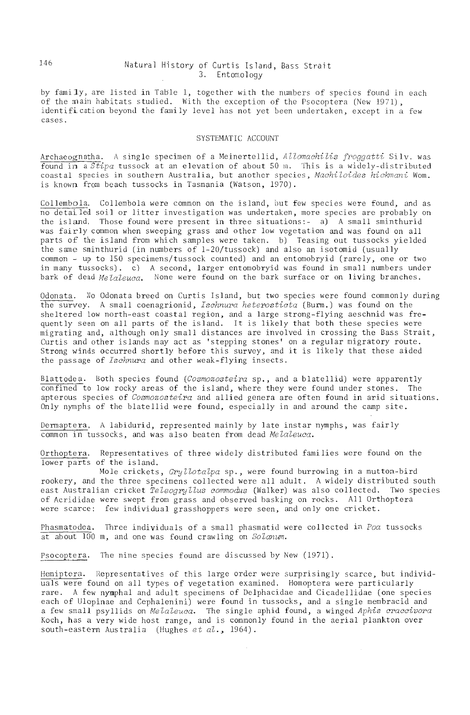# 146 Natural History of Curtis Island, Bass Strait 3. Entomology

by family, are listed in Table 1, together with the numbers of species found in each of the main habitats studied. With the exception of the Psocoptera (New 1971), identification beyond the family level has not yet been undertaken, except in a few cases.

# SYSTEMATIC ACCOUNT

Archaeognatha. A single specimen of a Meinertellid, *Allomachilis froqgatti* Silv. was found in a *Stipa* tussock at an elevation of about 50 m. This is a widely-distributed coastal species in southern Australia, but another species, Machiloides hickmani Wom. is known from beach tussocks in Tasmania (Watson,  $1970$ ).

Collembola. Collembola were common on the island, but few species were found, and as no detailed soil or litter investigation was undertaken, more species are probably on the is land. Those found were present in three situations: - a) A small sminthurid was fairly common when sweeping grass and other low vegetation and was found on all parts of the island from which samples were taken. b) Teasing out tussocks yielded the same sminthurid (in numbers of 1-20/tussock) and also an isotomid (usually common  $-$  up to 150 specimens/tussock counted) and an entomobryid (rarely, one or two in many tussocks). c) A second, larger entomobryid was found in small numbers under bark of dead *Melaleuca*. None were found on the bark surface or on living branches.

Odonata. No Odonata breed on Curtis Island, but two species were found commonly during the survey. A small coenagrionid, *Ischnura heterosticta* (Burm.) was found on the sheltered low north-east coastal region, and a large strong-flying aeschnid was frequently seen on all parts of the island. It is likely that both these species were migrating and, although only small distances are involved in crossing the Bass Strait, Curtis and other is lands may act as 'stepping stones' on a regular migratory route. Strong winds occurred shortly before this survey, and it is likely that these aided the passage of *Ischnura* and other weak-flying insects.

Blattode a. Both species found *(Cosmozosteira* sp., and a blatellid) were apparently confined to low rocky areas of the island, where they were found under stones. The apterous species of *Cosmozosteira* and allied genera are often found in arid situations. Only nymphs of the blate llid were found, especially in and around the camp site.

Dermaptera. A labidurid, represented mainly by late instar nymphs, was fairly common in tussocks, and was also beaten from dead *Melaleuca.* 

Orthoptera. Representatives of three widely distributed fami lies were found on the lower parts of the island.

Mole crickets, *Gryllotalpa* sp., \\fere found burrowing in a mutton-bird rookery, and the three specimens collected were all adult. A widely distributed south east Australian cricket *Teleogryllus commodus* (Walker) was also collected. Two species of Acrididae were swept from grass and observed basking on rocks. All Orthoptera were scarce: few individual grasshoppers were seen, and only one cricket.

Phasmatodea. Three individuals of a small phasmatid were collected in *Foa* tussocks at about lOG m, and one was found crawling on *Solanum.* 

Psocoptera. The nine species found are discussed by New (1971).

Hemiptera. Representatives of this large order were surprisingly scarce, but individuals were found on all types of vegetation examined. Homoptera were particularly rare. A few nymphal and adult specimens of Delphacidae and Cicade llidae (one species each of Ulopinae and Cephalenini) were found in tussocks, and a single membracid and a few small psyllids on *Melaleuca*. The single aphid found, a winged *Aphis craccivora* Koch, has a very wide host range, and is commonly found in the aerial plankton over south-eastern Australia (Hughes et  $al.$ , 1964).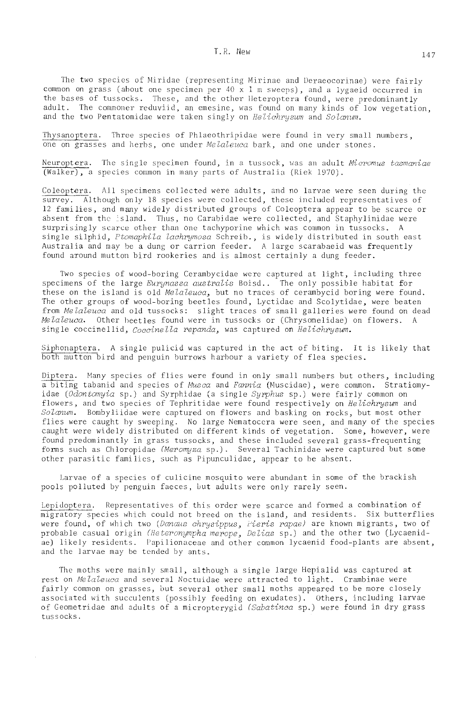The two species of Miridae (representing Mirinae and Deraeocorinae) were fairly common on grass (about one specimen per 40  $\bar{x}$  1 m sweeps), and a lygaeid occurred in the bases of tussocks. These, and the other Heteroptera found, were predominantly adult. The commoner reduviid, an emesine, was found on many kinds of low vegetation. and the two Pentatomidae were taken singly on Helichrusum and Solanum.

Thysanoptera. Three species of Phlaeothripidae were found in very small numbers, one on grasses and herbs, one under Melaleuca bark, and one under stones.

Neuroptera. The single specimen found, in a tussock, was an adult Micromus tasmaniae (Walker), a species common in many parts of Australia (Riek 1970).

Coleoptera. All specimens collected were adults, and no larvae were seen during the survey. Although only 18 species were collected, these included representatives of 12 families, and many widely distributed groups of Coleoptera appear to be scarce or absent from the island. Thus, no Carabidae were collected, and Staphylinidae were surprisingly scarce other than one tachyporine which was common in tussocks. A single silphid, Ptomaphila lachrymosa Schreib., is widely distributed in south east Australia and may be a dung or carrion feeder. A large scarabaeid was frequently found around mutton bird rookeries and is almost certainly a dung feeder.

Two species of wood-boring Cerambycidae were captured at light, including three specimens of the large Eurynassa australis Boisd.. The only possible habitat for these on the island is old *Melaleuca*, but no traces of cerambycid boring were found. The other groups of wood-boring beetles found, Lyctidae and Scolytidae, were beaten from Melaleuca and old tussocks: slight traces of small galleries were found on dead Melaleuca. Other beetles found were in tussocks or (Chrysomelidae) on flowers. A single coccinellid, Coccinella repanda, was captured on Helichrysum.

Siphonaptera. A single pulicid was captured in the act of biting. It is likely that both mutton bird and penguin burrows harbour a variety of flea species.

Diptera. Many species of flies were found in only small numbers but others, including a biting tabanid and species of Musca and Fannia (Muscidae), were common. Stratiomyidae (Odontomyia sp.) and Syrphidae (a single Syrphus sp.) were fairly common on flowers, and two species of Tephritidae were found respectively on Helichrysum and Solanum. Bombyliidae were captured on flowers and basking on rocks, but most other flies were caught by sweeping. No large Nematocera were seen, and many of the species caught were widely distributed on different kinds of vegetation. Some, however, were found predominantly in grass tussocks, and these included several grass-frequenting forms such as Chloropidae (Meromyza sp.). Several Tachinidae were captured but some other parasitic families, such as Pipunculidae, appear to be absent.

Larvae of a species of culicine mosquito were abundant in some of the brackish pools polluted by penguin faeces, but adults were only rarely seen.

Lepidoptera. Representatives of this order were scarce and formed a combination of migratory species which could not breed on the island, and residents. Six butterflies were found, of which two (Danaus chrysippus, Fieris rapae) are known migrants, two of probable casual origin (Heteronympha merope, Delias sp.) and the other two (Lycaenidae) likely residents. Papilionaceae and other common lycaenid food-plants are absent, and the larvae may be tended by ants.

The moths were mainly small, although a single large Hepialid was captured at rest on Melaleuca and several Noctuidae were attracted to light. Crambinae were fairly common on grasses, but several other small moths appeared to be more closely associated with succulents (possibly feeding on exudates). Others, including larvae of Geometridae and adults of a micropterygid (Sabatinea sp.) were found in dry grass tussocks.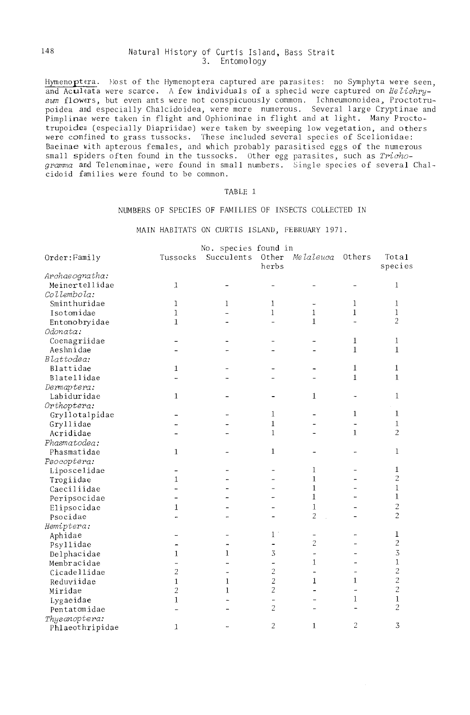## 148 Natural History of Curtis Island, Bass Strait 3. Entomology

Hymenoptera. Most of the Hymenoptera captured are parasites: no Symphyta were seen, and Acultata were scarce. A few individuals of a sphecid were captured on *He Lichry*sum flowers, but even ants were not conspicuously common. Ichneumonoidea, Proctotrupoidea and especially Chalcidoidea, were more numerous. Several 1 arge Cryptinae and Pimplinae were taken in flight and Ophioninae in flight and at light. Many Proctotrupoidea (especially Diapriidae) were taken by sweeping low vegetation, and others were confined to grass tussocks. These included several species of Scelionidae: Baeinae with apterous females, and which probably parasitised eggs of the numerous small spiders often found in the tussocks. Other egg parasites, such as *Trichogramma* and Telenominae, were found in small numbers. Single species of several Chalcidoid families were found to be common.

### TABLE 1

### NUMBERS OF SPECIES OF FAMILIES OF INSECTS COLLECTED IN

MAIN HABITATS ON CURTIS ISLAND, FEBRUARY 1971.

|                 | No. species found in |                |                |                     |                |                  |  |
|-----------------|----------------------|----------------|----------------|---------------------|----------------|------------------|--|
| Order: Family   | Tussocks             | Succulents     | Other<br>herbs | Melaleuca           | Others         | Total<br>species |  |
| Archaeognatha:  |                      |                |                |                     |                |                  |  |
| Meinertellidae  | $\mathbf{1}$         |                |                |                     |                | 1                |  |
| Collembola:     |                      |                |                |                     |                |                  |  |
| Sminthuridae    | 1                    | 1              | 1              | $\overbrace{ }^{ }$ | 1              | $\mathbf{1}$     |  |
| Isotomidae      | $\mathbf{1}$         |                | 1              | $\mathbf{1}$        | $\mathbf{1}$   | 1                |  |
| Entomobryidae   | $\mathbf{1}$         |                |                | $\mathbf{1}$        |                | $\overline{2}$   |  |
| Odonata:        |                      |                |                |                     |                |                  |  |
| Coenagriidae    |                      |                |                |                     | 1              | $\mathbf{1}$     |  |
| Aeshnidae       |                      |                |                |                     | 1              | $\mathbf{1}$     |  |
| Blattodea:      |                      |                |                |                     |                |                  |  |
| Blattidae       | 1                    |                |                |                     | $\mathbf{1}$   | $\mathbf{1}$     |  |
| Blatellidae     |                      |                |                |                     | $\mathbf{1}$   | $\mathbf{1}$     |  |
| Dermaptera:     |                      |                |                |                     |                |                  |  |
| Labiduridae     | $\mathbf{1}$         |                |                | $\mathbf{1}$        |                | $\mathbf{1}$     |  |
| Orthoptera:     |                      |                |                |                     |                |                  |  |
| Gryllotalpidae  |                      |                | $\mathbf{1}$   |                     | $\mathbf{1}$   | $\mathbf{1}$     |  |
| Gryllidae       |                      |                | $\bf{1}$       |                     |                | $\mathbf{1}$     |  |
| Acrididae       |                      |                | $\mathbf{1}$   |                     | $\mathbf{1}$   | $\overline{2}$   |  |
| Phasmatodea:    |                      |                |                |                     |                |                  |  |
| Phasmatidae     | 1                    |                | 1              |                     |                | $\mathbf{1}$     |  |
| Psocoptera:     |                      |                |                |                     |                |                  |  |
| Liposcelidae    |                      |                |                | 1                   |                | 1                |  |
| Trogiidae       | 1                    |                |                | 1                   |                | $\overline{c}$   |  |
| Caeciliidae     |                      |                |                | $\mathbf{1}$        |                | $\mathbf{1}$     |  |
| Peripsocidae    |                      |                |                | 1                   |                | $\mathbf{1}$     |  |
| Elipsocidae     | 1                    |                |                | $\mathbf{1}$        |                | $\overline{c}$   |  |
| Psocidae        |                      |                |                | 2                   |                | $\overline{c}$   |  |
| Hemiptera:      |                      |                |                |                     |                |                  |  |
| Aphidae         |                      |                | $1^{\circ}$    | $\overline{a}$      |                | 1                |  |
| Psyllidae       |                      | ۰              |                | $\overline{c}$      |                | $\overline{c}$   |  |
| Delphacidae     | $\mathbf{1}$         | 1              | 3              | L.                  |                | 3                |  |
| Membracidae     |                      | 4              | -              | $\mathbf{1}$        | $\blacksquare$ | $\mathbf{1}$     |  |
| Cicadellidae    | $\overline{2}$       | $\overline{a}$ | $\overline{c}$ |                     |                | $\overline{c}$   |  |
| Reduviidae      | $\mathbf{1}$         | $\mathbf{1}$   | $\overline{2}$ | 1                   | 1              | $\overline{c}$   |  |
| Miridae         | $\overline{c}$       | 1              | $\overline{2}$ |                     |                | $\overline{c}$   |  |
| Lygaeidae       | $\mathbf{1}$         |                | ÷,             |                     | 1              | $\mathbf{1}$     |  |
| Pentatomidae    |                      |                | $\overline{c}$ |                     |                | 2                |  |
| Thysanoptera:   |                      |                |                |                     |                |                  |  |
| Phlaeothripidae | $\mathbf{1}$         |                | $\sqrt{2}$     | $\mathbf{1}$        | 2              | 3                |  |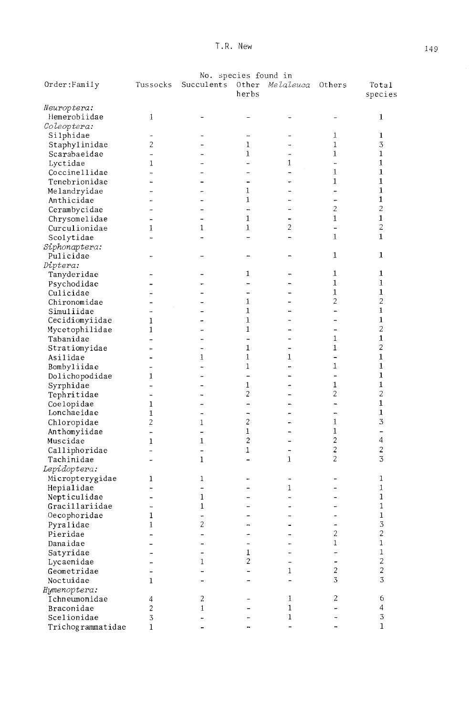| No. species found in     |                      |                          |                          |                          |                          |                          |  |
|--------------------------|----------------------|--------------------------|--------------------------|--------------------------|--------------------------|--------------------------|--|
| Order:Family             | Tussocks             | Succulents               | Other<br>herbs           | Melaleuca                | Others                   | Total<br>species         |  |
| Neuroptera:              |                      |                          |                          |                          |                          |                          |  |
| Hemerobiidae             | 1                    | -                        |                          |                          | ÷                        | 1                        |  |
| Coleoptera:              |                      |                          |                          |                          |                          |                          |  |
| Silphidae                | -                    |                          | ⊷                        |                          | 1                        | $\mathbf{1}$             |  |
| Staphylinidae            | $\overline{2}$       |                          | 1                        |                          | 1                        | 3                        |  |
| Scarabaeidae             | $\overline{a}$       |                          | 1                        | ÷,                       | 1                        | $\mathbf 1$              |  |
| Lyctidae                 | 1                    |                          | ш.                       | $\mathbf{1}$             | $\overline{a}$           | 1                        |  |
| Coccinellidae            | -                    |                          | u.                       |                          | 1                        | 1                        |  |
| Tenebrionidae            |                      |                          | -                        |                          | 1                        | $\mathbf{1}$             |  |
| Melandryidae             | <b>.</b>             | -                        | 1                        |                          | ÷,                       | 1                        |  |
| Anthicidae               |                      |                          | 1                        |                          | ÷                        | 1                        |  |
| Cerambycidae             | ÷                    | -                        |                          | $\overline{a}$           | 2                        | $\overline{c}$           |  |
| Chrysomelidae            |                      |                          | $\mathbf{1}$             |                          | 1                        | $\mathbf{1}$             |  |
| Curculionidae            | 1                    | 1                        | 1                        | 2                        | $\overline{a}$           | $\overline{c}$           |  |
| Scolytidae               | L.                   |                          |                          | $\overline{\phantom{0}}$ | $\mathbf{1}$             | $\mathbf{1}$             |  |
| Siphonaptera:            |                      |                          |                          |                          |                          |                          |  |
| Pulicidae                |                      | -                        |                          |                          | 1                        | 1                        |  |
| Diptera:                 |                      |                          |                          |                          |                          |                          |  |
|                          |                      |                          | 1                        | ÷                        | 1                        | 1                        |  |
| Tanyderidae              |                      | ÷                        | -                        | $\overline{\phantom{0}}$ | 1                        | 1                        |  |
| Psychodidae<br>Culicidae |                      |                          |                          |                          | 1                        | 1                        |  |
|                          |                      |                          | -<br>1                   | $\overline{a}$           | 2                        | 2                        |  |
| Chironomidae             |                      |                          | $\mathbf{1}$             |                          |                          | 1                        |  |
| Simuliidae               |                      |                          |                          |                          | -                        | 1                        |  |
| Cecidiomyiidae           | 1                    | ĩ.                       | 1                        |                          | -                        | 2                        |  |
| Mycetophilidae           | 1                    | ÷                        | 1                        |                          |                          |                          |  |
| Tabanidae                |                      |                          | -                        | $\blacksquare$           | 1                        | 1                        |  |
| Stratiomyidae            |                      |                          | 1                        |                          | $\mathbf 1$              | 2                        |  |
| Asilidae                 |                      | 1                        | 1                        | 1                        | $\overline{a}$           | $\mathbf{1}$             |  |
| Bombyliidae              | $\overline{a}$       | L.                       | 1                        | ÷                        | 1                        | 1                        |  |
| Dolichopodidae           | 1                    | -                        | -                        |                          | $\overline{a}$           | 1                        |  |
| Syrphidae                | ш.                   |                          | 1                        | ÷                        | $\mathbf 1$              | 1                        |  |
| Tephritidae              | -                    |                          | 2                        | -                        | 2                        | $\overline{c}$           |  |
| Coelopidae               | 1                    | m.                       |                          | -                        |                          | $\mathbf{1}$             |  |
| Lonchaeidae              | 1                    | -                        | $\overline{\phantom{0}}$ | $\blacksquare$           | $\overline{a}$           | 1                        |  |
| Chloropidae              | $\overline{c}$       | 1                        | $\overline{c}$           | Ξ.                       | 1                        | 3                        |  |
| Anthomyiidae             | -                    | $\ddot{\phantom{1}}$     | $\mathbf 1$              | $\overline{\phantom{a}}$ | 1                        | $\overline{\phantom{0}}$ |  |
| Muscidae                 | 1                    | 1                        | $\sqrt{2}$               | $\overline{\phantom{0}}$ | $\overline{c}$           | $\overline{4}$           |  |
| Calliphoridae            | ÷                    |                          | 1                        | $\blacksquare$           | $\overline{c}$           | $\overline{c}$           |  |
| Tachinidae               | $\ddot{\phantom{1}}$ | 1                        | $\overline{\phantom{0}}$ | 1                        | $\overline{c}$           | 3                        |  |
| Lepidoptera:             |                      |                          |                          |                          |                          |                          |  |
| Micropterygidae          | 1                    | 1                        |                          |                          | -                        | 1                        |  |
| Hepialidae               | Ξ.                   | -                        | -                        | 1                        | -                        | 1                        |  |
| Nepticulidae             |                      | 1                        |                          | L,                       |                          | $\mathbf 1$              |  |
| Gracillariidae           | -                    | 1                        | $\overline{\phantom{0}}$ |                          | ÷.                       | $\mathbf{1}$             |  |
| Oecophoridae             | 1                    |                          | -                        | i.                       |                          | $\mathbf 1$              |  |
| Pyralidae                | 1                    | $\overline{c}$           | -                        |                          |                          | 3                        |  |
| Pieridae                 |                      |                          |                          |                          | 2                        | 2                        |  |
| Danaidae                 |                      |                          | $\overline{a}$           |                          | $\mathbf 1$              | 1                        |  |
| Satyridae                |                      |                          | 1                        |                          | -                        | 1                        |  |
| Lycaenidae               |                      | 1                        | 2                        |                          | $\overline{\phantom{m}}$ | $\overline{c}$           |  |
| Geometridae              |                      | -                        | $\overline{\phantom{0}}$ | 1                        | $\overline{c}$           | $\overline{c}$           |  |
| Noctuidae                | 1                    |                          | -                        | $\overline{a}$           | 3                        | 3                        |  |
| Hymenoptera:             |                      |                          |                          |                          |                          |                          |  |
| Ichneumonidae            | 4                    | 2                        |                          | 1                        | 2                        | 6                        |  |
| Braconidae               | $\overline{c}$       | 1                        |                          | 1                        |                          | 4                        |  |
| Scelionidae              | 3                    | ÷.                       |                          | 1                        |                          | $\sqrt{3}$               |  |
| Trichogrammatidae        | 1                    | $\overline{\phantom{0}}$ |                          | $\overline{a}$           |                          | 1                        |  |
|                          |                      |                          |                          |                          |                          |                          |  |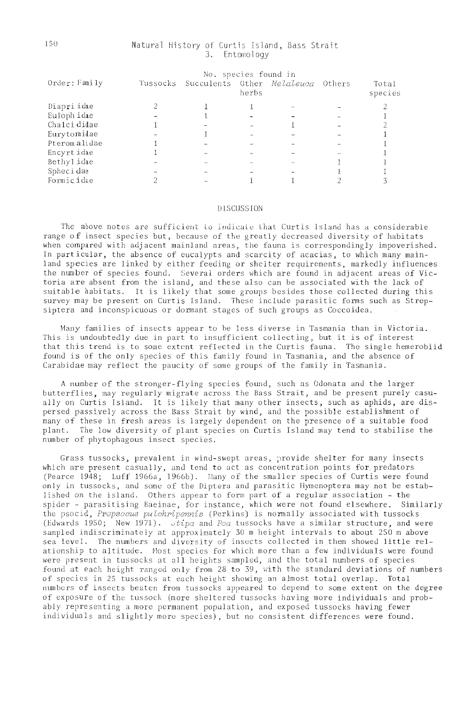## Natural History of Curtis Island, Bass Strait 3. Entomology

|               | No. species found in |                                            |       |  |  |                  |  |
|---------------|----------------------|--------------------------------------------|-------|--|--|------------------|--|
| Order: Family |                      | Tussocks Succulents Other Melaleuca Others | herbs |  |  | Total<br>species |  |
| Diapri idae   |                      |                                            |       |  |  |                  |  |
| Euloph idae   |                      |                                            |       |  |  |                  |  |
| Chalci didae  |                      |                                            |       |  |  |                  |  |
| Eurytomidae   |                      |                                            |       |  |  |                  |  |
| Pteromalidae  |                      |                                            |       |  |  |                  |  |
| Encyrtidae    |                      |                                            |       |  |  |                  |  |
| Bethylidae    |                      |                                            |       |  |  |                  |  |
| Sphecidae     |                      |                                            |       |  |  |                  |  |
| Formicidae    |                      |                                            |       |  |  |                  |  |

### **DISCUSSION**

The above notes are sufficient to indicate that Curtis Island has a considerable range of insect species but, because of the greatly decreased diversity of habitats when compared with adjacent mainland areas, the fauna is correspondingly impoverished. In particular, the absence of eucalypts and scarcity of acacias, to which many mainland species are linked by either feeding or shelter requirements, markedly influences the number of species found. Several orders which are found in adjacent areas of Victoria are absent from the island, and these also can be associated with the lack of suitable habitats. It is likely that some groups besides those collected during this survey may be present on Curtis Island. These include parasitic forms such as Strepsiptera and inconspicuous or dormant stages of such groups as Coccoidea.

Many families of insects appear to be less diverse in Tasmania than in Victoria. This is undoubtedly due in part to insufficient collecting, but it is of interest that this trend is to some extent reflected in the Curtis fauna. The single hemerobiid found is of the only species of this family found in Tasmania, and the absence of Carabidae may reflect the paucity of some groups of the family in Tasmania.

A number of the stronger-flying species found, such as Odonata and the larger butterflies, may regularly migrate across the Bass Strait, and be present purely casually on Curtis Island. It is likely that many other insects, such as aphids, are dispersed passively across the Bass Strait by wind, and the possible establishment of many of these in fresh areas is largely dependent on the presence of a suitable food plant. The low diversity of plant species on Curtis Island may tend to stabilise the number of phytophagous insect species.

Grass tussocks, prevalent in wind-swept areas, provide shelter for many insects which are present casually, and tend to act as concentration points for predators (Pearce 1948; Luff 1966a, 1966b). Many of the smaller species of Curtis were found only in tussocks, and some of the Diptera and parasitic Hymenoptera may not be established on the island. Others appear to form part of a regular association - the spider - parasitising Baeinae, for instance, which were not found elsewhere. Similarly the psocid, Propsocus pulchripennis (Perkins) is normally associated with tussocks (Edwards 1950; New 1971).  $\dot{J}tpa$  and Poa tussocks have a similar structure, and were sampled indiscriminately at approximately 30 m height intervals to about 250 m above sea level. The numbers and diversity of insects collected in them showed little relationship to altitude. Most species for which more than a few individuals were found were present in tussocks at all heights sampled, and the total numbers of species found at each height ranged only from 28 to 39, with the standard deviations of numbers of species in 25 tussocks at each height showing an almost total overlap. Total numbers of insects beaten from tussocks appeared to depend to some extent on the degree of exposure of the tussock (more sheltered tussocks having more individuals and probably representing a more permanent population, and exposed tussocks having fewer individuals and slightly more species), but no consistent differences were found.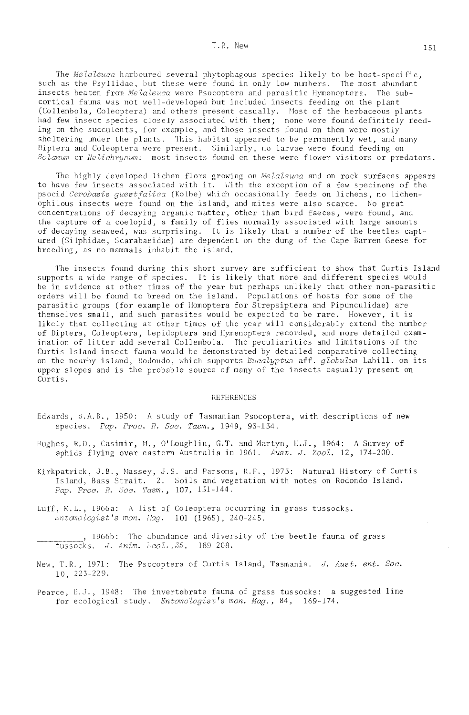The Melaleuca harboured several phytophagous species likely to be host-specific. such as the Psyllidae, but these were found in only low numbers. The most abundant insects beaten from Melaleuca were Psocoptera and parasitic Hymenoptera. The subcortical fauna was not well-developed but included insects feeding on the plant (Collembola, Coleoptera) and others present casually. Most of the herbaceous plants had few insect species closely associated with them; none were found definitely feeding on the succulents, for example, and those insects found on them were mostly sheltering under the plants. This habitat appeared to be permanently wet, and many Diptera and Coleoptera were present. Similarly, no larvae were found feeding on Solanum or Helichrysum: most insects found on these were flower-visitors or predators.

The highly developed lichen flora growing on Melaleuca and on rock surfaces appears to have few insects associated with it. With the exception of a few specimens of the psocid Cerobasis questfalica (Kolbe) which occasionally feeds on lichens, no lichenophilous insects were found on the island, and mites were also scarce. No great concentrations of decaying organic matter, other than bird faeces, were found, and the capture of a coelopid, a family of flies normally associated with large amounts of decaying seaweed, was surprising. It is likely that a number of the beetles captured (Silphidae, Scarabaeidae) are dependent on the dung of the Cape Barren Geese for breeding, as no mammals inhabit the island.

The insects found during this short survey are sufficient to show that Curtis Island supports a wide range of species. It is likely that more and different species would be in evidence at other times of the year but perhaps unlikely that other non-parasitic orders will be found to breed on the island. Populations of hosts for some of the parasitic groups (for example of Homoptera for Strepsiptera and Pipunculidae) are themselves small, and such parasites would be expected to be rare. However, it is likely that collecting at other times of the year will considerably extend the number of Diptera, Coleoptera, Lepidoptera and Hymenoptera recorded, and more detailed examination of litter add several Collembola. The peculiarities and limitations of the Curtis Island insect fauna would be demonstrated by detailed comparative collecting on the nearby island, Rodondo, which supports Eucalyptus aff. globulus Labill. on its upper slopes and is the probable source of many of the insects casually present on Curtis.

#### **REFERENCES**

- Edwards, B.A.B., 1950: A study of Tasmanian Psocoptera, with descriptions of new species. Pap. Proc. R. Soc. Tasm., 1949, 93-134.
- Hughes, R.D., Casimir, M., O'Loughlin, G.T. and Martyn, E.J., 1964: A Survey of aphids flying over eastern Australia in 1961. Aust. J. 2007. 12, 174-200.
- Kirkpatrick, J.B., Massey, J.S. and Parsons, R.F., 1973: Natural History of Curtis Island, Bass Strait. 2. Soils and vegetation with notes on Rodondo Island. Pap. Proc. R. Soc. Tasm., 107, 131-144.
- Luff, M.L., 1966a: A list of Coleoptera occurring in grass tussocks. Entemologist's mon. Hag. 101 (1965), 240-245.

. 1966b: The abundance and diversity of the beetle fauna of grass tussocks, J. Anim. Ecol., 35, 189-208.

- New, T.R., 1971: The Psocoptera of Curtis Island, Tasmania. J. Aust. ent. Soc.  $10, 223 - 229.$
- Pearce, E.J., 1948: The invertebrate fauna of grass tussocks: a suggested line for ecological study. Entomologist's mon. Mag., 84, 169-174.